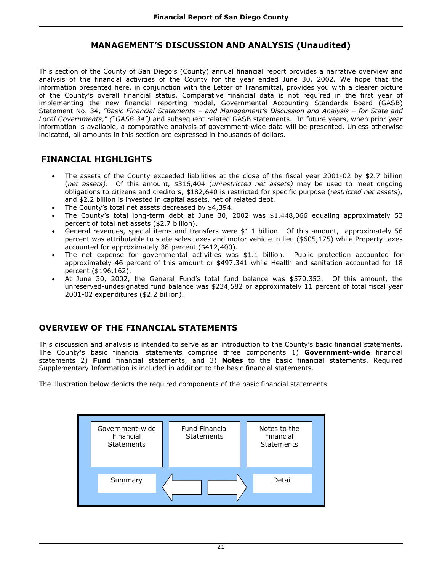This section of the County of San Diego's (County) annual financial report provides a narrative overview and analysis of the financial activities of the County for the year ended June 30, 2002. We hope that the information presented here, in conjunction with the Letter of Transmittal, provides you with a clearer picture of the County's overall financial status. Comparative financial data is not required in the first year of implementing the new financial reporting model, Governmental Accounting Standards Board (GASB) Statement No. 34, *"Basic Financial Statements – and Management's Discussion and Analysis – for State and Local Governments," ("GASB 34")* and subsequent related GASB statements. In future years, when prior year information is available, a comparative analysis of government-wide data will be presented. Unless otherwise indicated, all amounts in this section are expressed in thousands of dollars.

## **FINANCIAL HIGHLIGHTS**

- The assets of the County exceeded liabilities at the close of the fiscal year 2001-02 by \$2.7 billion (*net assets)*. Of this amount, \$316,404 (*unrestricted net assets)* may be used to meet ongoing obligations to citizens and creditors, \$182,640 is restricted for specific purpose (*restricted net assets*), and \$2.2 billion is invested in capital assets, net of related debt.
- The County's total net assets decreased by \$4,394.
- The County's total long-term debt at June 30, 2002 was \$1,448,066 equaling approximately 53 percent of total net assets (\$2.7 billion).
- General revenues, special items and transfers were \$1.1 billion. Of this amount, approximately 56 percent was attributable to state sales taxes and motor vehicle in lieu (\$605,175) while Property taxes accounted for approximately 38 percent (\$412,400).
- The net expense for governmental activities was \$1.1 billion. Public protection accounted for approximately 46 percent of this amount or \$497,341 while Health and sanitation accounted for 18 percent (\$196,162).
- At June 30, 2002, the General Fund's total fund balance was \$570,352. Of this amount, the unreserved-undesignated fund balance was \$234,582 or approximately 11 percent of total fiscal year 2001-02 expenditures (\$2.2 billion).

## **OVERVIEW OF THE FINANCIAL STATEMENTS**

This discussion and analysis is intended to serve as an introduction to the County's basic financial statements. The County's basic financial statements comprise three components 1) **Government-wide** financial statements 2) **Fund** financial statements, and 3) **Notes** to the basic financial statements. Required Supplementary Information is included in addition to the basic financial statements.

The illustration below depicts the required components of the basic financial statements.

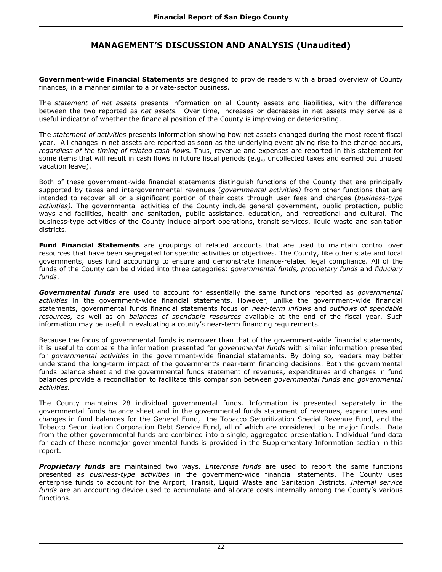**Government-wide Financial Statements** are designed to provide readers with a broad overview of County finances, in a manner similar to a private-sector business.

The *statement of net assets* presents information on all County assets and liabilities, with the difference between the two reported as *net assets.* Over time, increases or decreases in net assets may serve as a useful indicator of whether the financial position of the County is improving or deteriorating.

The *statement of activities* presents information showing how net assets changed during the most recent fiscal year. All changes in net assets are reported as soon as the underlying event giving rise to the change occurs, *regardless of the timing of related cash flows.* Thus, revenue and expenses are reported in this statement for some items that will result in cash flows in future fiscal periods (e.g., uncollected taxes and earned but unused vacation leave).

Both of these government-wide financial statements distinguish functions of the County that are principally supported by taxes and intergovernmental revenues (*governmental activities)* from other functions that are intended to recover all or a significant portion of their costs through user fees and charges (*business-type activities).* The governmental activities of the County include general government, public protection, public ways and facilities, health and sanitation, public assistance, education, and recreational and cultural. The business-type activities of the County include airport operations, transit services, liquid waste and sanitation districts.

**Fund Financial Statements** are groupings of related accounts that are used to maintain control over resources that have been segregated for specific activities or objectives. The County, like other state and local governments, uses fund accounting to ensure and demonstrate finance-related legal compliance. All of the funds of the County can be divided into three categories: *governmental funds, proprietary funds* and *fiduciary funds*.

*Governmental funds* are used to account for essentially the same functions reported as *governmental activities* in the government-wide financial statements. However, unlike the government-wide financial statements, governmental funds financial statements focus on *near-term inflows* and *outflows of spendable resources,* as well as on *balances of spendable resources* available at the end of the fiscal year. Such information may be useful in evaluating a county's near-term financing requirements.

Because the focus of governmental funds is narrower than that of the government-wide financial statements, it is useful to compare the information presented for *governmental funds* with similar information presented for *governmental activities* in the government-wide financial statements. By doing so, readers may better understand the long-term impact of the government's near-term financing decisions. Both the governmental funds balance sheet and the governmental funds statement of revenues, expenditures and changes in fund balances provide a reconciliation to facilitate this comparison between *governmental funds* and *governmental activities.* 

The County maintains 28 individual governmental funds. Information is presented separately in the governmental funds balance sheet and in the governmental funds statement of revenues, expenditures and changes in fund balances for the General Fund, the Tobacco Securitization Special Revenue Fund, and the Tobacco Securitization Corporation Debt Service Fund, all of which are considered to be major funds. Data from the other governmental funds are combined into a single, aggregated presentation. Individual fund data for each of these nonmajor governmental funds is provided in the Supplementary Information section in this report.

*Proprietary funds* are maintained two ways. *Enterprise funds* are used to report the same functions presented as *business-type activities* in the government-wide financial statements. The County uses enterprise funds to account for the Airport, Transit, Liquid Waste and Sanitation Districts. *Internal service funds* are an accounting device used to accumulate and allocate costs internally among the County's various functions.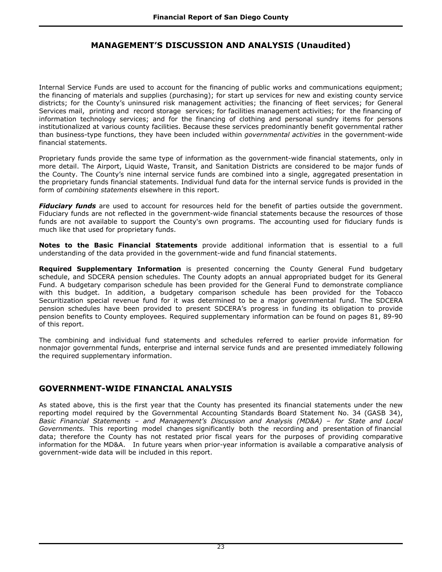Internal Service Funds are used to account for the financing of public works and communications equipment; the financing of materials and supplies (purchasing); for start up services for new and existing county service districts; for the County's uninsured risk management activities; the financing of fleet services; for General Services mail, printing and record storage services; for facilities management activities; for the financing of information technology services; and for the financing of clothing and personal sundry items for persons institutionalized at various county facilities. Because these services predominantly benefit governmental rather than business-type functions, they have been included within *governmental activities* in the government-wide financial statements.

Proprietary funds provide the same type of information as the government-wide financial statements, only in more detail. The Airport, Liquid Waste, Transit, and Sanitation Districts are considered to be major funds of the County. The County's nine internal service funds are combined into a single, aggregated presentation in the proprietary funds financial statements. Individual fund data for the internal service funds is provided in the form of *combining statements* elsewhere in this report.

*Fiduciary funds* are used to account for resources held for the benefit of parties outside the government. Fiduciary funds are not reflected in the government-wide financial statements because the resources of those funds are not available to support the County's own programs. The accounting used for fiduciary funds is much like that used for proprietary funds.

**Notes to the Basic Financial Statements** provide additional information that is essential to a full understanding of the data provided in the government-wide and fund financial statements.

**Required Supplementary Information** is presented concerning the County General Fund budgetary schedule, and SDCERA pension schedules. The County adopts an annual appropriated budget for its General Fund. A budgetary comparison schedule has been provided for the General Fund to demonstrate compliance with this budget. In addition, a budgetary comparison schedule has been provided for the Tobacco Securitization special revenue fund for it was determined to be a major governmental fund. The SDCERA pension schedules have been provided to present SDCERA's progress in funding its obligation to provide pension benefits to County employees. Required supplementary information can be found on pages 81, 89-90 of this report.

The combining and individual fund statements and schedules referred to earlier provide information for nonmajor governmental funds, enterprise and internal service funds and are presented immediately following the required supplementary information.

## **GOVERNMENT-WIDE FINANCIAL ANALYSIS**

As stated above, this is the first year that the County has presented its financial statements under the new reporting model required by the Governmental Accounting Standards Board Statement No. 34 (GASB 34), *Basic Financial Statements – and Management's Discussion and Analysis (MD&A) – for State and Local Governments.* This reporting model changes significantly both the recording and presentation of financial data; therefore the County has not restated prior fiscal years for the purposes of providing comparative information for the MD&A. In future years when prior-year information is available a comparative analysis of government-wide data will be included in this report.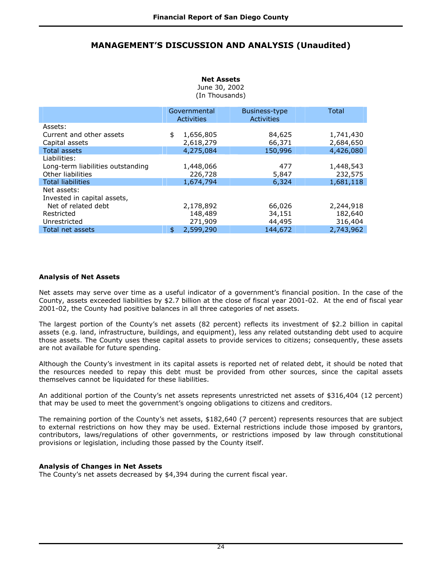#### **Net Assets**  June 30, 2002 (In Thousands)

|                                   | Governmental<br><b>Activities</b> |           | <b>Business-type</b><br>Activities | Total     |
|-----------------------------------|-----------------------------------|-----------|------------------------------------|-----------|
| Assets:                           |                                   |           |                                    |           |
| Current and other assets          | \$                                | 1,656,805 | 84,625                             | 1,741,430 |
| Capital assets                    |                                   | 2,618,279 | 66,371                             | 2,684,650 |
| <b>Total assets</b>               |                                   | 4,275,084 | 150,996                            | 4,426,080 |
| Liabilities:                      |                                   |           |                                    |           |
| Long-term liabilities outstanding |                                   | 1,448,066 | 477                                | 1,448,543 |
| Other liabilities                 |                                   | 226,728   | 5,847                              | 232,575   |
| <b>Total liabilities</b>          |                                   | 1,674,794 | 6,324                              | 1,681,118 |
| Net assets:                       |                                   |           |                                    |           |
| Invested in capital assets,       |                                   |           |                                    |           |
| Net of related debt               |                                   | 2,178,892 | 66,026                             | 2,244,918 |
| Restricted                        |                                   | 148,489   | 34,151                             | 182,640   |
| Unrestricted                      |                                   | 271,909   | 44,495                             | 316,404   |
| Total net assets                  | \$                                | 2,599,290 | 144,672                            | 2,743,962 |

### **Analysis of Net Assets**

Net assets may serve over time as a useful indicator of a government's financial position. In the case of the County, assets exceeded liabilities by \$2.7 billion at the close of fiscal year 2001-02. At the end of fiscal year 2001-02, the County had positive balances in all three categories of net assets.

The largest portion of the County's net assets (82 percent) reflects its investment of \$2.2 billion in capital assets (e.g. land, infrastructure, buildings, and equipment), less any related outstanding debt used to acquire those assets. The County uses these capital assets to provide services to citizens; consequently, these assets are not available for future spending.

Although the County's investment in its capital assets is reported net of related debt, it should be noted that the resources needed to repay this debt must be provided from other sources, since the capital assets themselves cannot be liquidated for these liabilities.

An additional portion of the County's net assets represents unrestricted net assets of \$316,404 (12 percent) that may be used to meet the government's ongoing obligations to citizens and creditors.

The remaining portion of the County's net assets, \$182,640 (7 percent) represents resources that are subject to external restrictions on how they may be used. External restrictions include those imposed by grantors, contributors, laws/regulations of other governments, or restrictions imposed by law through constitutional provisions or legislation, including those passed by the County itself.

### **Analysis of Changes in Net Assets**

The County's net assets decreased by \$4,394 during the current fiscal year.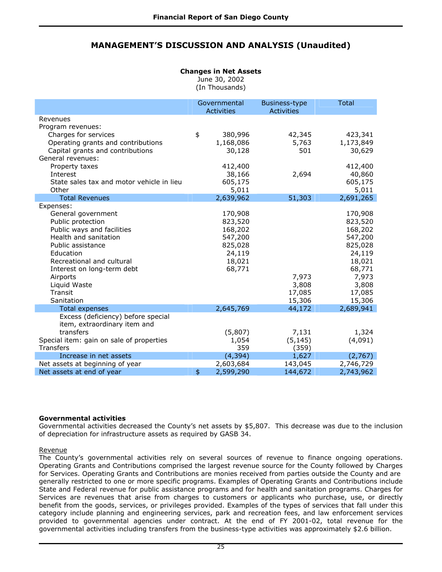# **Changes in Net Assets**

June 30, 2002

(In Thousands)

|                                           | Governmental<br><b>Activities</b> | Business-type<br><b>Activities</b> | <b>Total</b> |
|-------------------------------------------|-----------------------------------|------------------------------------|--------------|
| Revenues                                  |                                   |                                    |              |
| Program revenues:                         |                                   |                                    |              |
| Charges for services                      | \$<br>380,996                     | 42,345                             | 423,341      |
| Operating grants and contributions        | 1,168,086                         | 5,763                              | 1,173,849    |
| Capital grants and contributions          | 30,128                            | 501                                | 30,629       |
| General revenues:                         |                                   |                                    |              |
| Property taxes                            | 412,400                           |                                    | 412,400      |
| Interest                                  | 38,166                            | 2,694                              | 40,860       |
| State sales tax and motor vehicle in lieu | 605,175                           |                                    | 605,175      |
| Other                                     | 5,011                             |                                    | 5,011        |
| <b>Total Revenues</b>                     | 2,639,962                         | 51,303                             | 2,691,265    |
| Expenses:                                 |                                   |                                    |              |
| General government                        | 170,908                           |                                    | 170,908      |
| Public protection                         | 823,520                           |                                    | 823,520      |
| Public ways and facilities                | 168,202                           |                                    | 168,202      |
| Health and sanitation                     | 547,200                           |                                    | 547,200      |
| Public assistance                         | 825,028                           |                                    | 825,028      |
| Education                                 | 24,119                            |                                    | 24,119       |
| Recreational and cultural                 | 18,021                            |                                    | 18,021       |
| Interest on long-term debt                | 68,771                            |                                    | 68,771       |
| Airports                                  |                                   | 7,973                              | 7,973        |
| Liquid Waste                              |                                   | 3,808                              | 3,808        |
| Transit                                   |                                   | 17,085                             | 17,085       |
| Sanitation                                |                                   | 15,306                             | 15,306       |
| <b>Total expenses</b>                     | 2,645,769                         | 44,172                             | 2,689,941    |
| Excess (deficiency) before special        |                                   |                                    |              |
| item, extraordinary item and              |                                   |                                    |              |
| transfers                                 | (5,807)                           | 7,131                              | 1,324        |
| Special item: gain on sale of properties  | 1,054                             | (5, 145)                           | (4,091)      |
| Transfers                                 | 359                               | (359)                              |              |
| Increase in net assets                    | (4, 394)                          | 1,627                              | (2,767)      |
| Net assets at beginning of year           | 2,603,684                         | 143,045                            | 2,746,729    |
| Net assets at end of year                 | \$<br>2,599,290                   | 144,672                            | 2,743,962    |

### **Governmental activities**

Governmental activities decreased the County's net assets by \$5,807. This decrease was due to the inclusion of depreciation for infrastructure assets as required by GASB 34.

### Revenue

The County's governmental activities rely on several sources of revenue to finance ongoing operations. Operating Grants and Contributions comprised the largest revenue source for the County followed by Charges for Services. Operating Grants and Contributions are monies received from parties outside the County and are generally restricted to one or more specific programs. Examples of Operating Grants and Contributions include State and Federal revenue for public assistance programs and for health and sanitation programs. Charges for Services are revenues that arise from charges to customers or applicants who purchase, use, or directly benefit from the goods, services, or privileges provided. Examples of the types of services that fall under this category include planning and engineering services, park and recreation fees, and law enforcement services provided to governmental agencies under contract. At the end of FY 2001-02, total revenue for the governmental activities including transfers from the business-type activities was approximately \$2.6 billion.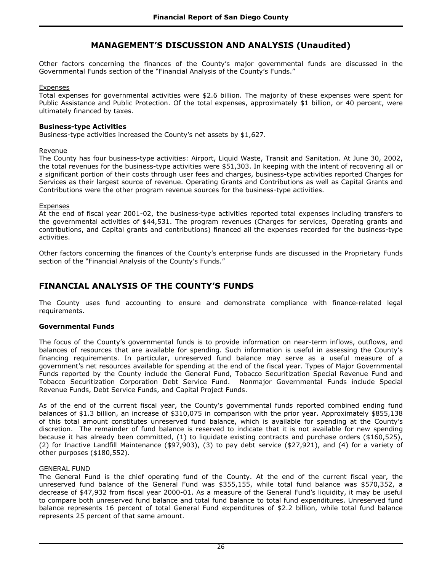Other factors concerning the finances of the County's major governmental funds are discussed in the Governmental Funds section of the "Financial Analysis of the County's Funds."

#### **Expenses**

Total expenses for governmental activities were \$2.6 billion. The majority of these expenses were spent for Public Assistance and Public Protection. Of the total expenses, approximately \$1 billion, or 40 percent, were ultimately financed by taxes.

### **Business-type Activities**

Business-type activities increased the County's net assets by \$1,627.

#### Revenue

The County has four business-type activities: Airport, Liquid Waste, Transit and Sanitation. At June 30, 2002, the total revenues for the business-type activities were \$51,303. In keeping with the intent of recovering all or a significant portion of their costs through user fees and charges, business-type activities reported Charges for Services as their largest source of revenue. Operating Grants and Contributions as well as Capital Grants and Contributions were the other program revenue sources for the business-type activities.

#### Expenses

At the end of fiscal year 2001-02, the business-type activities reported total expenses including transfers to the governmental activities of \$44,531. The program revenues (Charges for services, Operating grants and contributions, and Capital grants and contributions) financed all the expenses recorded for the business-type activities.

Other factors concerning the finances of the County's enterprise funds are discussed in the Proprietary Funds section of the "Financial Analysis of the County's Funds."

# **FINANCIAL ANALYSIS OF THE COUNTY'S FUNDS**

The County uses fund accounting to ensure and demonstrate compliance with finance-related legal requirements.

### **Governmental Funds**

The focus of the County's governmental funds is to provide information on near-term inflows, outflows, and balances of resources that are available for spending. Such information is useful in assessing the County's financing requirements. In particular, unreserved fund balance may serve as a useful measure of a government's net resources available for spending at the end of the fiscal year. Types of Major Governmental Funds reported by the County include the General Fund, Tobacco Securitization Special Revenue Fund and Tobacco Securitization Corporation Debt Service Fund. Nonmajor Governmental Funds include Special Revenue Funds, Debt Service Funds, and Capital Project Funds.

As of the end of the current fiscal year, the County's governmental funds reported combined ending fund balances of \$1.3 billion, an increase of \$310,075 in comparison with the prior year. Approximately \$855,138 of this total amount constitutes unreserved fund balance, which is available for spending at the County's discretion. The remainder of fund balance is reserved to indicate that it is not available for new spending because it has already been committed, (1) to liquidate existing contracts and purchase orders (\$160,525), (2) for Inactive Landfill Maintenance (\$97,903), (3) to pay debt service (\$27,921), and (4) for a variety of other purposes (\$180,552).

### GENERAL FUND

The General Fund is the chief operating fund of the County. At the end of the current fiscal year, the unreserved fund balance of the General Fund was \$355,155, while total fund balance was \$570,352, a decrease of \$47,932 from fiscal year 2000-01. As a measure of the General Fund's liquidity, it may be useful to compare both unreserved fund balance and total fund balance to total fund expenditures. Unreserved fund balance represents 16 percent of total General Fund expenditures of \$2.2 billion, while total fund balance represents 25 percent of that same amount.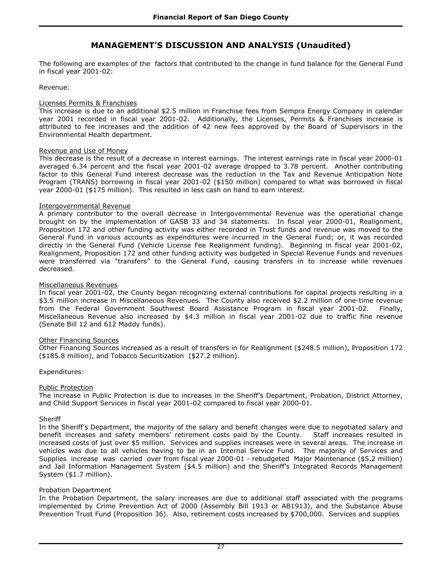The following are examples of the factors that contributed to the change in fund balance for the General Fund in fiscal year 2001-02:

### Revenue:

#### Licenses Permits & Franchises

This increase is due to an additional \$2.5 million in Franchise fees from Sempra Energy Company in calendar year 2001 recorded in fiscal year 2001-02. Additionally, the Licenses, Permits & Franchises increase is attributed to fee increases and the addition of 42 new fees approved by the Board of Supervisors in the Environmental Health department.

#### Revenue and Use of Money

This decrease is the result of a decrease in interest earnings. The interest earnings rate in fiscal year 2000-01 averaged 6.34 percent and the fiscal year 2001-02 average dropped to 3.78 percent. Another contributing factor to this General Fund interest decrease was the reduction in the Tax and Revenue Anticipation Note Program (TRANS) borrowing in fiscal year 2001-02 (\$150 million) compared to what was borrowed in fiscal year 2000-01 (\$175 million). This resulted in less cash on hand to earn interest.

#### Intergovernmental Revenue

A primary contributor to the overall decrease in Intergovernmental Revenue was the operational change brought on by the implementation of GASB 33 and 34 statements. In fiscal year 2000-01, Realignment, Proposition 172 and other funding activity was either recorded in Trust funds and revenue was moved to the General Fund in various accounts as expenditures were incurred in the General Fund; or, it was recorded directly in the General Fund (Vehicle License Fee Realignment funding). Beginning in fiscal year 2001-02, Realignment, Proposition 172 and other funding activity was budgeted in Special Revenue Funds and revenues were transferred via "transfers" to the General Fund, causing transfers in to increase while revenues decreased.

#### Miscellaneous Revenues

In fiscal year 2001-02, the County began recognizing external contributions for capital projects resulting in a \$3.5 million increase in Miscellaneous Revenues. The County also received \$2.2 million of one-time revenue from the Federal Government Southwest Board Assistance Program in fiscal year 2001-02. Finally, Miscellaneous Revenue also increased by \$4.3 million in fiscal year 2001-02 due to traffic fine revenue (Senate Bill 12 and 612 Maddy funds).

#### Other Financing Sources

Other Financing Sources increased as a result of transfers in for Realignment (\$248.5 million), Proposition 172 (\$185.8 million), and Tobacco Securitization (\$27.2 million).

### Expenditures:

#### Public Protection

The increase in Public Protection is due to increases in the Sheriff's Department, Probation, District Attorney, and Child Support Services in fiscal year 2001-02 compared to fiscal year 2000-01.

#### Sheriff

In the Sheriff's Department, the majority of the salary and benefit changes were due to negotiated salary and benefit increases and safety members' retirement costs paid by the County. Staff increases resulted in increased costs of just over \$5 million. Services and supplies increases were in several areas. The increase in vehicles was due to all vehicles having to be in an Internal Service Fund. The majority of Services and Supplies increase was carried over from fiscal year 2000-01 - rebudgeted Major Maintenance (\$5.2 million) and Jail Information Management System (\$4.5 million) and the Sheriff's Integrated Records Management System (\$1.7 million).

#### Probation Department

In the Probation Department, the salary increases are due to additional staff associated with the programs implemented by Crime Prevention Act of 2000 (Assembly Bill 1913 or AB1913), and the Substance Abuse Prevention Trust Fund (Proposition 36). Also, retirement costs increased by \$700,000. Services and supplies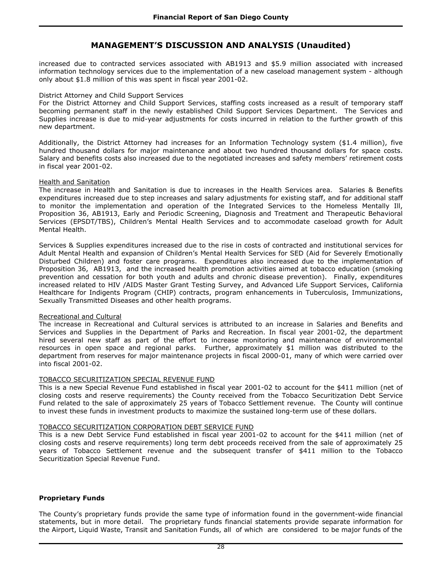increased due to contracted services associated with AB1913 and \$5.9 million associated with increased information technology services due to the implementation of a new caseload management system - although only about \$1.8 million of this was spent in fiscal year 2001-02.

#### District Attorney and Child Support Services

For the District Attorney and Child Support Services, staffing costs increased as a result of temporary staff becoming permanent staff in the newly established Child Support Services Department. The Services and Supplies increase is due to mid-year adjustments for costs incurred in relation to the further growth of this new department.

Additionally, the District Attorney had increases for an Information Technology system (\$1.4 million), five hundred thousand dollars for major maintenance and about two hundred thousand dollars for space costs. Salary and benefits costs also increased due to the negotiated increases and safety members' retirement costs in fiscal year 2001-02.

#### Health and Sanitation

The increase in Health and Sanitation is due to increases in the Health Services area. Salaries & Benefits expenditures increased due to step increases and salary adjustments for existing staff, and for additional staff to monitor the implementation and operation of the Integrated Services to the Homeless Mentally Ill, Proposition 36, AB1913, Early and Periodic Screening, Diagnosis and Treatment and Therapeutic Behavioral Services (EPSDT/TBS), Children's Mental Health Services and to accommodate caseload growth for Adult Mental Health.

Services & Supplies expenditures increased due to the rise in costs of contracted and institutional services for Adult Mental Health and expansion of Children's Mental Health Services for SED (Aid for Severely Emotionally Disturbed Children) and foster care programs. Expenditures also increased due to the implementation of Proposition 36, AB1913, and the increased health promotion activities aimed at tobacco education (smoking prevention and cessation for both youth and adults and chronic disease prevention). Finally, expenditures increased related to HIV /AIDS Master Grant Testing Survey, and Advanced Life Support Services, California Healthcare for Indigents Program (CHIP) contracts, program enhancements in Tuberculosis, Immunizations, Sexually Transmitted Diseases and other health programs.

#### Recreational and Cultural

The increase in Recreational and Cultural services is attributed to an increase in Salaries and Benefits and Services and Supplies in the Department of Parks and Recreation. In fiscal year 2001-02, the department hired several new staff as part of the effort to increase monitoring and maintenance of environmental resources in open space and regional parks. Further, approximately \$1 million was distributed to the department from reserves for major maintenance projects in fiscal 2000-01, many of which were carried over into fiscal 2001-02.

### TOBACCO SECURITIZATION SPECIAL REVENUE FUND

This is a new Special Revenue Fund established in fiscal year 2001-02 to account for the \$411 million (net of closing costs and reserve requirements) the County received from the Tobacco Securitization Debt Service Fund related to the sale of approximately 25 years of Tobacco Settlement revenue. The County will continue to invest these funds in investment products to maximize the sustained long-term use of these dollars.

#### TOBACCO SECURITIZATION CORPORATION DEBT SERVICE FUND

This is a new Debt Service Fund established in fiscal year 2001-02 to account for the \$411 million (net of closing costs and reserve requirements) long term debt proceeds received from the sale of approximately 25 years of Tobacco Settlement revenue and the subsequent transfer of \$411 million to the Tobacco Securitization Special Revenue Fund.

### **Proprietary Funds**

The County's proprietary funds provide the same type of information found in the government-wide financial statements, but in more detail. The proprietary funds financial statements provide separate information for the Airport, Liquid Waste, Transit and Sanitation Funds, all of which are considered to be major funds of the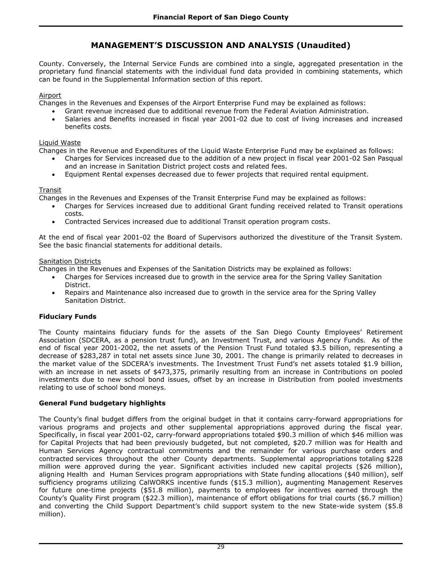County. Conversely, the Internal Service Funds are combined into a single, aggregated presentation in the proprietary fund financial statements with the individual fund data provided in combining statements, which can be found in the Supplemental Information section of this report.

### Airport

Changes in the Revenues and Expenses of the Airport Enterprise Fund may be explained as follows:

- Grant revenue increased due to additional revenue from the Federal Aviation Administration.
- Salaries and Benefits increased in fiscal year 2001-02 due to cost of living increases and increased benefits costs.

### Liquid Waste

Changes in the Revenue and Expenditures of the Liquid Waste Enterprise Fund may be explained as follows:

- Charges for Services increased due to the addition of a new project in fiscal year 2001-02 San Pasqual and an increase in Sanitation District project costs and related fees.
- Equipment Rental expenses decreased due to fewer projects that required rental equipment.

### Transit

Changes in the Revenues and Expenses of the Transit Enterprise Fund may be explained as follows:

- Charges for Services increased due to additional Grant funding received related to Transit operations costs.
- Contracted Services increased due to additional Transit operation program costs.

At the end of fiscal year 2001-02 the Board of Supervisors authorized the divestiture of the Transit System. See the basic financial statements for additional details.

### Sanitation Districts

Changes in the Revenues and Expenses of the Sanitation Districts may be explained as follows:

- Charges for Services increased due to growth in the service area for the Spring Valley Sanitation District.
- Repairs and Maintenance also increased due to growth in the service area for the Spring Valley Sanitation District.

## **Fiduciary Funds**

The County maintains fiduciary funds for the assets of the San Diego County Employees' Retirement Association (SDCERA, as a pension trust fund), an Investment Trust, and various Agency Funds. As of the end of fiscal year 2001-2002, the net assets of the Pension Trust Fund totaled \$3.5 billion, representing a decrease of \$283,287 in total net assets since June 30, 2001. The change is primarily related to decreases in the market value of the SDCERA's investments. The Investment Trust Fund's net assets totaled \$1.9 billion, with an increase in net assets of \$473,375, primarily resulting from an increase in Contributions on pooled investments due to new school bond issues, offset by an increase in Distribution from pooled investments relating to use of school bond moneys.

## **General Fund budgetary highlights**

The County's final budget differs from the original budget in that it contains carry-forward appropriations for various programs and projects and other supplemental appropriations approved during the fiscal year. Specifically, in fiscal year 2001-02, carry-forward appropriations totaled \$90.3 million of which \$46 million was for Capital Projects that had been previously budgeted, but not completed, \$20.7 million was for Health and Human Services Agency contractual commitments and the remainder for various purchase orders and contracted services throughout the other County departments. Supplemental appropriations totaling \$228 million were approved during the year. Significant activities included new capital projects (\$26 million), aligning Health and Human Services program appropriations with State funding allocations (\$40 million), self sufficiency programs utilizing CalWORKS incentive funds (\$15.3 million), augmenting Management Reserves for future one-time projects (\$51.8 million), payments to employees for incentives earned through the County's Quality First program (\$22.3 million), maintenance of effort obligations for trial courts (\$6.7 million) and converting the Child Support Department's child support system to the new State-wide system (\$5.8 million).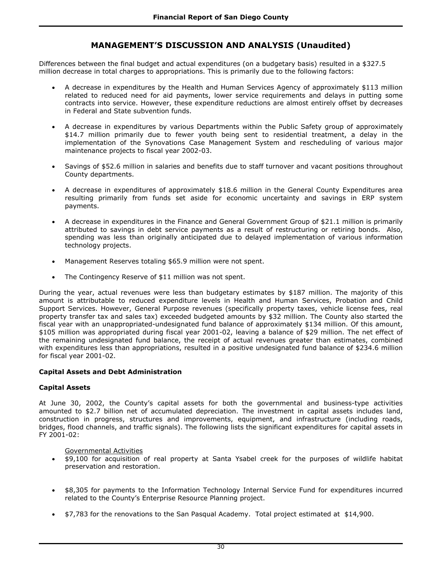Differences between the final budget and actual expenditures (on a budgetary basis) resulted in a \$327.5 million decrease in total charges to appropriations. This is primarily due to the following factors:

- A decrease in expenditures by the Health and Human Services Agency of approximately \$113 million related to reduced need for aid payments, lower service requirements and delays in putting some contracts into service. However, these expenditure reductions are almost entirely offset by decreases in Federal and State subvention funds.
- A decrease in expenditures by various Departments within the Public Safety group of approximately \$14.7 million primarily due to fewer youth being sent to residential treatment, a delay in the implementation of the Synovations Case Management System and rescheduling of various major maintenance projects to fiscal year 2002-03.
- Savings of \$52.6 million in salaries and benefits due to staff turnover and vacant positions throughout County departments.
- A decrease in expenditures of approximately \$18.6 million in the General County Expenditures area resulting primarily from funds set aside for economic uncertainty and savings in ERP system payments.
- A decrease in expenditures in the Finance and General Government Group of \$21.1 million is primarily attributed to savings in debt service payments as a result of restructuring or retiring bonds. Also, spending was less than originally anticipated due to delayed implementation of various information technology projects.
- Management Reserves totaling \$65.9 million were not spent.
- The Contingency Reserve of \$11 million was not spent.

During the year, actual revenues were less than budgetary estimates by \$187 million. The majority of this amount is attributable to reduced expenditure levels in Health and Human Services, Probation and Child Support Services. However, General Purpose revenues (specifically property taxes, vehicle license fees, real property transfer tax and sales tax) exceeded budgeted amounts by \$32 million. The County also started the fiscal year with an unappropriated-undesignated fund balance of approximately \$134 million. Of this amount, \$105 million was appropriated during fiscal year 2001-02, leaving a balance of \$29 million. The net effect of the remaining undesignated fund balance, the receipt of actual revenues greater than estimates, combined with expenditures less than appropriations, resulted in a positive undesignated fund balance of \$234.6 million for fiscal year 2001-02.

### **Capital Assets and Debt Administration**

### **Capital Assets**

At June 30, 2002, the County's capital assets for both the governmental and business-type activities amounted to \$2.7 billion net of accumulated depreciation. The investment in capital assets includes land, construction in progress, structures and improvements, equipment, and infrastructure (including roads, bridges, flood channels, and traffic signals). The following lists the significant expenditures for capital assets in FY 2001-02:

Governmental Activities

- \$9,100 for acquisition of real property at Santa Ysabel creek for the purposes of wildlife habitat preservation and restoration.
- \$8,305 for payments to the Information Technology Internal Service Fund for expenditures incurred related to the County's Enterprise Resource Planning project.
- \$7,783 for the renovations to the San Pasqual Academy. Total project estimated at \$14,900.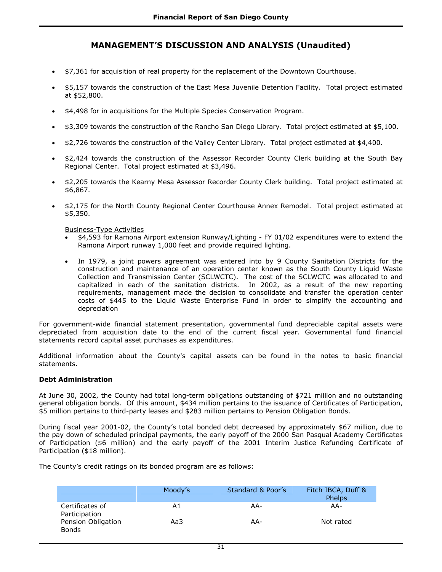- \$7,361 for acquisition of real property for the replacement of the Downtown Courthouse.
- \$5,157 towards the construction of the East Mesa Juvenile Detention Facility. Total project estimated at \$52,800.
- \$4,498 for in acquisitions for the Multiple Species Conservation Program.
- \$3,309 towards the construction of the Rancho San Diego Library. Total project estimated at \$5,100.
- \$2,726 towards the construction of the Valley Center Library. Total project estimated at \$4,400.
- \$2,424 towards the construction of the Assessor Recorder County Clerk building at the South Bay Regional Center. Total project estimated at \$3,496.
- \$2,205 towards the Kearny Mesa Assessor Recorder County Clerk building. Total project estimated at \$6,867.
- \$2,175 for the North County Regional Center Courthouse Annex Remodel. Total project estimated at \$5,350.

Business-Type Activities

- \$4,593 for Ramona Airport extension Runway/Lighting FY 01/02 expenditures were to extend the Ramona Airport runway 1,000 feet and provide required lighting.
- In 1979, a joint powers agreement was entered into by 9 County Sanitation Districts for the construction and maintenance of an operation center known as the South County Liquid Waste Collection and Transmission Center (SCLWCTC). The cost of the SCLWCTC was allocated to and capitalized in each of the sanitation districts. In 2002, as a result of the new reporting requirements, management made the decision to consolidate and transfer the operation center costs of \$445 to the Liquid Waste Enterprise Fund in order to simplify the accounting and depreciation

For government-wide financial statement presentation, governmental fund depreciable capital assets were depreciated from acquisition date to the end of the current fiscal year. Governmental fund financial statements record capital asset purchases as expenditures.

Additional information about the County's capital assets can be found in the notes to basic financial statements.

### **Debt Administration**

At June 30, 2002, the County had total long-term obligations outstanding of \$721 million and no outstanding general obligation bonds. Of this amount, \$434 million pertains to the issuance of Certificates of Participation, \$5 million pertains to third-party leases and \$283 million pertains to Pension Obligation Bonds.

During fiscal year 2001-02, the County's total bonded debt decreased by approximately \$67 million, due to the pay down of scheduled principal payments, the early payoff of the 2000 San Pasqual Academy Certificates of Participation (\$6 million) and the early payoff of the 2001 Interim Justice Refunding Certificate of Participation (\$18 million).

The County's credit ratings on its bonded program are as follows:

|                                     | Moody's | Standard & Poor's | Fitch IBCA, Duff &<br>Phelps |
|-------------------------------------|---------|-------------------|------------------------------|
| Certificates of                     | Α1      | AA-               | AA-                          |
| Participation<br>Pension Obligation | Aa3     | AA-               | Not rated                    |
| <b>Bonds</b>                        |         |                   |                              |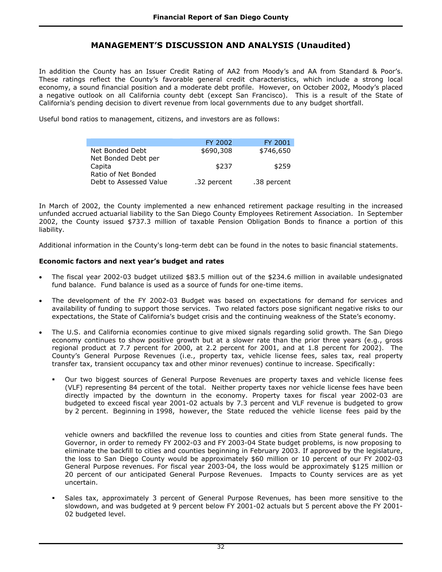In addition the County has an Issuer Credit Rating of AA2 from Moody's and AA from Standard & Poor's. These ratings reflect the County's favorable general credit characteristics, which include a strong local economy, a sound financial position and a moderate debt profile. However, on October 2002, Moody's placed a negative outlook on all California county debt (except San Francisco). This is a result of the State of California's pending decision to divert revenue from local governments due to any budget shortfall.

Useful bond ratios to management, citizens, and investors are as follows:

|                                               | FY 2002     | FY 2001     |
|-----------------------------------------------|-------------|-------------|
| Net Bonded Debt<br>Net Bonded Debt per        | \$690,308   | \$746,650   |
| Capita                                        | \$237       | \$259       |
| Ratio of Net Bonded<br>Debt to Assessed Value | .32 percent | .38 percent |

In March of 2002, the County implemented a new enhanced retirement package resulting in the increased unfunded accrued actuarial liability to the San Diego County Employees Retirement Association. In September 2002, the County issued \$737.3 million of taxable Pension Obligation Bonds to finance a portion of this liability.

Additional information in the County's long-term debt can be found in the notes to basic financial statements.

### **Economic factors and next year's budget and rates**

I

- The fiscal year 2002-03 budget utilized \$83.5 million out of the \$234.6 million in available undesignated fund balance. Fund balance is used as a source of funds for one-time items.
- The development of the FY 2002-03 Budget was based on expectations for demand for services and availability of funding to support those services. Two related factors pose significant negative risks to our expectations, the State of California's budget crisis and the continuing weakness of the State's economy.
- The U.S. and California economies continue to give mixed signals regarding solid growth. The San Diego economy continues to show positive growth but at a slower rate than the prior three years (e.g., gross regional product at 7.7 percent for 2000, at 2.2 percent for 2001, and at 1.8 percent for 2002). The County's General Purpose Revenues (i.e., property tax, vehicle license fees, sales tax, real property transfer tax, transient occupancy tax and other minor revenues) continue to increase. Specifically:
	- Our two biggest sources of General Purpose Revenues are property taxes and vehicle license fees (VLF) representing 84 percent of the total. Neither property taxes nor vehicle license fees have been directly impacted by the downturn in the economy. Property taxes for fiscal year 2002-03 are budgeted to exceed fiscal year 2001-02 actuals by 7.3 percent and VLF revenue is budgeted to grow by 2 percent. Beginning in 1998, however, the State reduced the vehicle license fees paid by the

vehicle owners and backfilled the revenue loss to counties and cities from State general funds. The Governor, in order to remedy FY 2002-03 and FY 2003-04 State budget problems, is now proposing to eliminate the backfill to cities and counties beginning in February 2003. If approved by the legislature, the loss to San Diego County would be approximately \$60 million or 10 percent of our FY 2002-03 General Purpose revenues. For fiscal year 2003-04, the loss would be approximately \$125 million or 20 percent of our anticipated General Purpose Revenues. Impacts to County services are as yet uncertain.

 Sales tax, approximately 3 percent of General Purpose Revenues, has been more sensitive to the slowdown, and was budgeted at 9 percent below FY 2001-02 actuals but 5 percent above the FY 2001- 02 budgeted level.